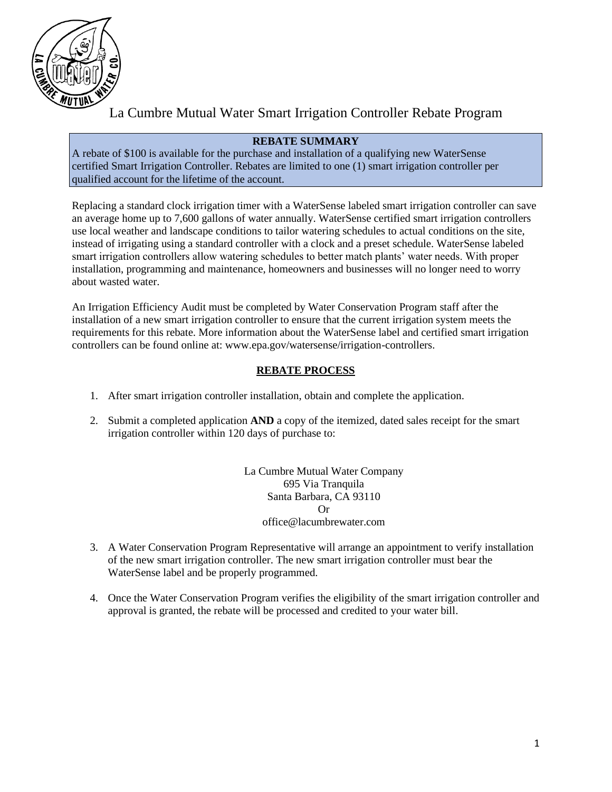

# La Cumbre Mutual Water Smart Irrigation Controller Rebate Program

# **REBATE SUMMARY**

A rebate of \$100 is available for the purchase and installation of a qualifying new WaterSense certified Smart Irrigation Controller. Rebates are limited to one (1) smart irrigation controller per qualified account for the lifetime of the account.

Replacing a standard clock irrigation timer with a WaterSense labeled smart irrigation controller can save an average home up to 7,600 gallons of water annually. WaterSense certified smart irrigation controllers use local weather and landscape conditions to tailor watering schedules to actual conditions on the site, instead of irrigating using a standard controller with a clock and a preset schedule. WaterSense labeled smart irrigation controllers allow watering schedules to better match plants' water needs. With proper installation, programming and maintenance, homeowners and businesses will no longer need to worry about wasted water.

An Irrigation Efficiency Audit must be completed by Water Conservation Program staff after the installation of a new smart irrigation controller to ensure that the current irrigation system meets the requirements for this rebate. More information about the WaterSense label and certified smart irrigation controllers can be found online at: www.epa.gov/watersense/irrigation-controllers.

### **REBATE PROCESS**

- 1. After smart irrigation controller installation, obtain and complete the application.
- 2. Submit a completed application **AND** a copy of the itemized, dated sales receipt for the smart irrigation controller within 120 days of purchase to:

La Cumbre Mutual Water Company 695 Via Tranquila Santa Barbara, CA 93110 Or office@lacumbrewater.com

- 3. A Water Conservation Program Representative will arrange an appointment to verify installation of the new smart irrigation controller. The new smart irrigation controller must bear the WaterSense label and be properly programmed.
- 4. Once the Water Conservation Program verifies the eligibility of the smart irrigation controller and approval is granted, the rebate will be processed and credited to your water bill.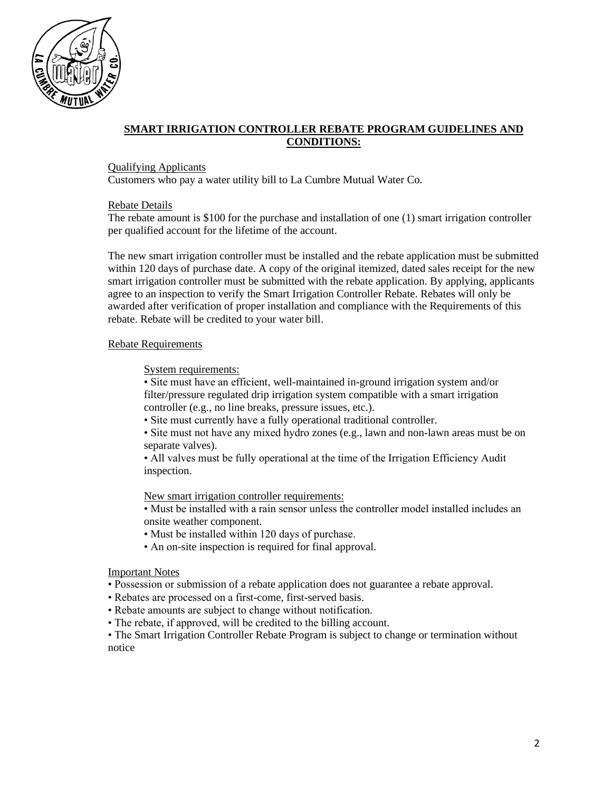

# **SMART IRRIGATION CONTROLLER REBATE PROGRAM GUIDELINES AND CONDITIONS:**

#### Qualifying Applicants

Customers who pay a water utility bill to La Cumbre Mutual Water Co.

#### Rebate Details

The rebate amount is \$100 for the purchase and installation of one (1) smart irrigation controller per qualified account for the lifetime of the account.

The new smart irrigation controller must be installed and the rebate application must be submitted within 120 days of purchase date. A copy of the original itemized, dated sales receipt for the new smart irrigation controller must be submitted with the rebate application. By applying, applicants agree to an inspection to verify the Smart Irrigation Controller Rebate. Rebates will only be awarded after verification of proper installation and compliance with the Requirements of this rebate. Rebate will be credited to your water bill.

#### Rebate Requirements

#### System requirements:

• Site must have an efficient, well-maintained in-ground irrigation system and/or filter/pressure regulated drip irrigation system compatible with a smart irrigation controller (e.g., no line breaks, pressure issues, etc.).

• Site must currently have a fully operational traditional controller.

• Site must not have any mixed hydro zones (e.g., lawn and non-lawn areas must be on separate valves).

• All valves must be fully operational at the time of the Irrigation Efficiency Audit inspection.

New smart irrigation controller requirements:

• Must be installed with a rain sensor unless the controller model installed includes an onsite weather component.

- Must be installed within 120 days of purchase.
- An on-site inspection is required for final approval.

#### Important Notes

• Possession or submission of a rebate application does not guarantee a rebate approval.

- Rebates are processed on a first-come, first-served basis.
- Rebate amounts are subject to change without notification.
- The rebate, if approved, will be credited to the billing account.

• The Smart Irrigation Controller Rebate Program is subject to change or termination without notice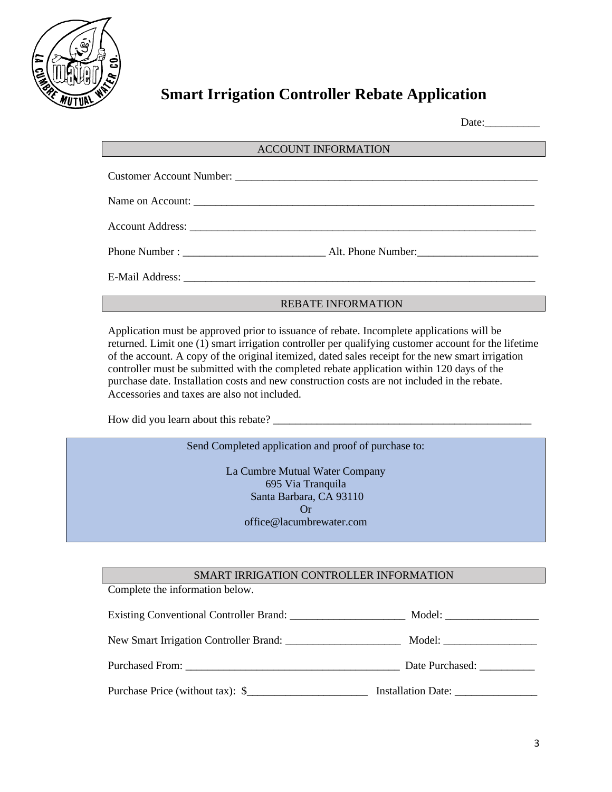

# **Smart Irrigation Controller Rebate Application**

Date:

#### ACCOUNT INFORMATION

#### REBATE INFORMATION

Application must be approved prior to issuance of rebate. Incomplete applications will be returned. Limit one (1) smart irrigation controller per qualifying customer account for the lifetime of the account. A copy of the original itemized, dated sales receipt for the new smart irrigation controller must be submitted with the completed rebate application within 120 days of the purchase date. Installation costs and new construction costs are not included in the rebate. Accessories and taxes are also not included.

How did you learn about this rebate?

Send Completed application and proof of purchase to:

La Cumbre Mutual Water Company 695 Via Tranquila Santa Barbara, CA 93110 Or office@lacumbrewater.com

#### SMART IRRIGATION CONTROLLER INFORMATION

Complete the information below.

Existing Conventional Controller Brand: \_\_\_\_\_\_\_\_\_\_\_\_\_\_\_\_\_\_\_\_\_ Model: \_\_\_\_\_\_\_\_\_\_\_\_\_\_\_\_\_

New Smart Irrigation Controller Brand: \_\_\_\_\_\_\_\_\_\_\_\_\_\_\_\_\_\_\_\_\_ Model: \_\_\_\_\_\_\_\_\_\_\_\_\_\_\_\_\_

Purchased From: \_\_\_\_\_\_\_\_\_\_\_\_\_\_\_\_\_\_\_\_\_\_\_\_\_\_\_\_\_\_\_\_\_\_\_\_\_\_\_ Date Purchased: \_\_\_\_\_\_\_\_\_\_

Purchase Price (without tax):  $\frac{1}{2}$  Installation Date: \_\_\_\_\_\_\_\_\_\_\_\_\_\_\_\_\_\_\_\_\_\_